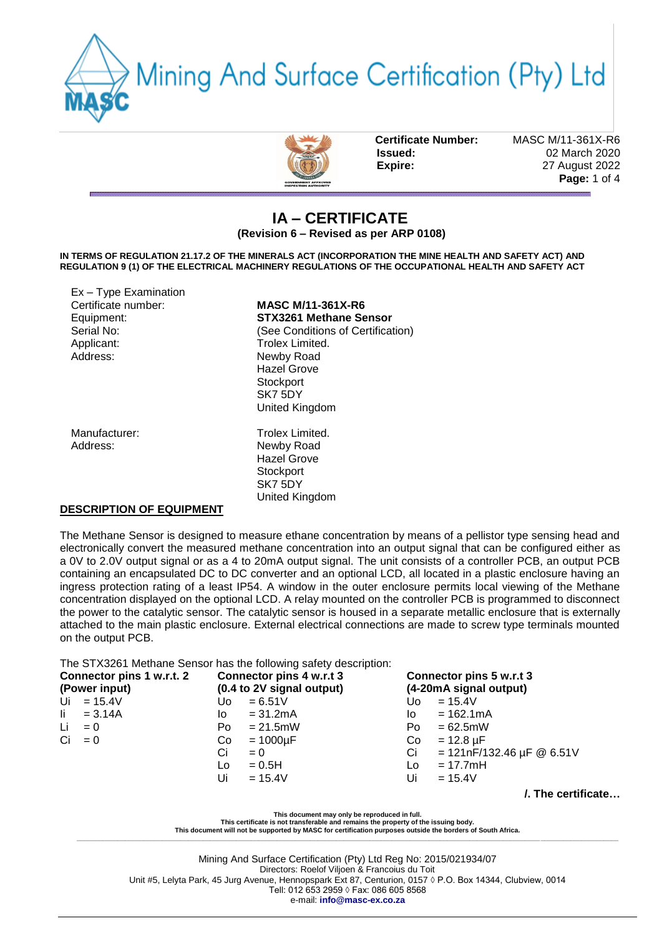



**Certificate Number:** MASC M/11-361X-R6

**Issued:** 02 March 2020 **Expire:** 27 August 2022 **Page:** 1 of 4

## **IA – CERTIFICATE (Revision 6 – Revised as per ARP 0108)**

**IN TERMS OF REGULATION 21.17.2 OF THE MINERALS ACT (INCORPORATION THE MINE HEALTH AND SAFETY ACT) AND REGULATION 9 (1) OF THE ELECTRICAL MACHINERY REGULATIONS OF THE OCCUPATIONAL HEALTH AND SAFETY ACT** 

| $Ex - Type Examination$<br>Certificate number:<br>Equipment:<br>Serial No:<br>Applicant:<br>Address: | <b>MASC M/11-361X-R6</b><br>STX3261 Methane Sensor<br>(See Conditions of Certification)<br>Trolex Limited.<br>Newby Road<br><b>Hazel Grove</b><br>Stockport<br>SK7 5DY<br>United Kingdom |
|------------------------------------------------------------------------------------------------------|------------------------------------------------------------------------------------------------------------------------------------------------------------------------------------------|
| Manufacturer:<br>Address:                                                                            | Trolex Limited.<br>Newby Road<br><b>Hazel Grove</b><br>Stockport<br>SK7 5DY<br>United Kingdom                                                                                            |

#### **DESCRIPTION OF EQUIPMENT**

The Methane Sensor is designed to measure ethane concentration by means of a pellistor type sensing head and electronically convert the measured methane concentration into an output signal that can be configured either as a 0V to 2.0V output signal or as a 4 to 20mA output signal. The unit consists of a controller PCB, an output PCB containing an encapsulated DC to DC converter and an optional LCD, all located in a plastic enclosure having an ingress protection rating of a least IP54. A window in the outer enclosure permits local viewing of the Methane concentration displayed on the optional LCD. A relay mounted on the controller PCB is programmed to disconnect the power to the catalytic sensor. The catalytic sensor is housed in a separate metallic enclosure that is externally attached to the main plastic enclosure. External electrical connections are made to screw type terminals mounted on the output PCB.

The STX3261 Methane Sensor has the following safety description:

| Connector pins 1 w.r.t. 2<br>(Power input) | Connector pins 4 w.r.t 3<br>(0.4 to 2V signal output) | Connector pins 5 w.r.t 3<br>(4-20mA signal output)      |  |  |  |
|--------------------------------------------|-------------------------------------------------------|---------------------------------------------------------|--|--|--|
| $Ui = 15.4V$                               | $= 6.51V$<br>∪o⊹                                      | $= 15.4 V$<br>Uo l                                      |  |  |  |
| $\mathsf{li} = 3.14A$                      | $= 31.2mA$<br>lo.                                     | $= 162.1 \text{mA}$<br>lo.                              |  |  |  |
| Li<br>$= 0$                                | $= 21.5$ mW<br>Po                                     | $= 62.5$ mW<br>Po.                                      |  |  |  |
| $Ci = 0$                                   | $=1000\mu F$<br>Co.                                   | $= 12.8 \,\mu F$<br>Co.                                 |  |  |  |
|                                            | Ci<br>$= 0$                                           | $= 121nF/132.46 \,\mu F \, \textcircled{a} 6.51V$<br>Ci |  |  |  |
|                                            | $= 0.5H$<br>Lo                                        | $= 17.7$ mH<br>Lo.                                      |  |  |  |
|                                            | Ui<br>$= 15.4V$                                       | Ui<br>$= 15.4V$                                         |  |  |  |

**/. The certificate…**

**This document may only be reproduced in full.** 

**This certificate is not transferable and remains the property of the issuing body.** 

**This document will not be supported by MASC for certification purposes outside the borders of South Africa. \_\_\_\_\_\_\_\_\_\_\_\_\_\_\_\_\_\_\_\_\_\_\_\_\_\_\_\_\_\_\_\_\_\_\_\_\_\_\_\_\_\_\_\_\_\_\_\_\_\_\_\_\_\_\_\_\_\_\_\_\_\_\_\_\_\_\_\_\_\_\_\_\_\_\_\_\_\_\_\_\_\_\_\_\_\_\_\_\_\_\_\_\_\_\_\_\_\_\_\_\_\_\_\_\_\_\_\_\_\_\_\_\_\_\_\_\_\_\_\_\_\_\_\_\_\_\_\_\_\_\_\_\_\_\_\_\_\_\_\_\_\_\_\_\_\_**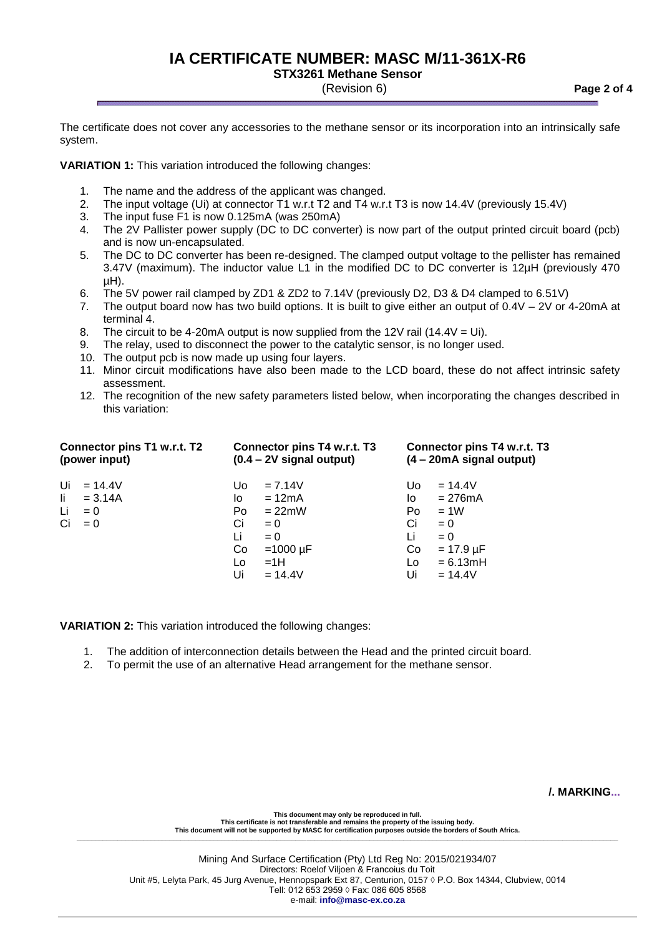# **IA CERTIFICATE NUMBER: MASC M/11-361X-R6**

**STX3261 Methane Sensor**

(Revision 6) **Page 2 of 4**

The certificate does not cover any accessories to the methane sensor or its incorporation into an intrinsically safe system.

**VARIATION 1:** This variation introduced the following changes:

- 1. The name and the address of the applicant was changed.
- 2. The input voltage (Ui) at connector T1 w.r.t T2 and T4 w.r.t T3 is now 14.4V (previously 15.4V)
- 3. The input fuse F1 is now 0.125mA (was 250mA)
- 4. The 2V Pallister power supply (DC to DC converter) is now part of the output printed circuit board (pcb) and is now un-encapsulated.
- 5. The DC to DC converter has been re-designed. The clamped output voltage to the pellister has remained 3.47V (maximum). The inductor value L1 in the modified DC to DC converter is 12µH (previously 470  $\mu$ H).
- 6. The 5V power rail clamped by ZD1 & ZD2 to 7.14V (previously D2, D3 & D4 clamped to 6.51V)
- 7. The output board now has two build options. It is built to give either an output of 0.4V 2V or 4-20mA at terminal 4.
- 8. The circuit to be 4-20mA output is now supplied from the 12V rail (14.4V = Ui).
- 9. The relay, used to disconnect the power to the catalytic sensor, is no longer used.
- 10. The output pcb is now made up using four layers.
- 11. Minor circuit modifications have also been made to the LCD board, these do not affect intrinsic safety assessment.
- 12. The recognition of the new safety parameters listed below, when incorporating the changes described in this variation:

| Connector pins T1 w.r.t. T2 | Connector pins T4 w.r.t. T3        |               |     | Connector pins T4 w.r.t. T3        |  |
|-----------------------------|------------------------------------|---------------|-----|------------------------------------|--|
| (power input)               | $(0.4 - 2V \text{ signal output})$ |               |     | $(4 - 20 \text{mA signal output})$ |  |
| $Ui = 14.4V$                | Uo.                                | $= 7.14V$     | Uo. | $= 14.4V$                          |  |
| li.                         | lo.                                | $= 12mA$      | lo. | $= 276mA$                          |  |
| $= 3.14A$                   | Po                                 | $= 22$ mW     | Po  | $=1W$                              |  |
| Li                          | Ci                                 | $= 0$         | Ci  | $= 0$                              |  |
| $= 0$                       | Li                                 | $= 0$         | Li  | $= 0$                              |  |
| Ci                          | Co                                 | $=1000 \mu F$ | Co  | $= 17.9 \mu F$                     |  |
| $= 0$                       | Lo                                 | $=1H$         | Lo  | $= 6.13mH$                         |  |
|                             | Ui                                 | $= 14.4V$     | Ui  | $= 14.4V$                          |  |

**VARIATION 2:** This variation introduced the following changes:

- 1. The addition of interconnection details between the Head and the printed circuit board.
- 2. To permit the use of an alternative Head arrangement for the methane sensor.

**/. MARKING...**

**This document may only be reproduced in full. This certificate is not transferable and remains the property of the issuing body. This document will not be supported by MASC for certification purposes outside the borders of South Africa. \_\_\_\_\_\_\_\_\_\_\_\_\_\_\_\_\_\_\_\_\_\_\_\_\_\_\_\_\_\_\_\_\_\_\_\_\_\_\_\_\_\_\_\_\_\_\_\_\_\_\_\_\_\_\_\_\_\_\_\_\_\_\_\_\_\_\_\_\_\_\_\_\_\_\_\_\_\_\_\_\_\_\_\_\_\_\_\_\_\_\_\_\_\_\_\_\_\_\_\_\_\_\_\_\_\_\_\_\_\_\_\_\_\_\_\_\_\_\_\_\_\_\_\_\_\_\_\_\_\_\_\_\_\_\_\_\_\_\_\_\_\_\_\_\_\_**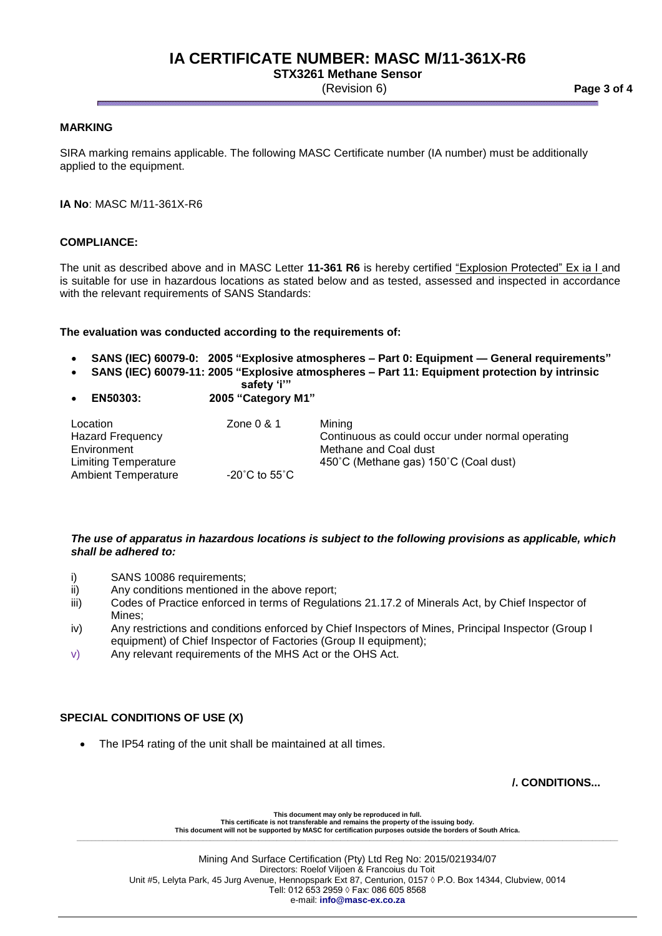# **IA CERTIFICATE NUMBER: MASC M/11-361X-R6**

**STX3261 Methane Sensor**

(Revision 6) **Page 3 of 4**

### **MARKING**

SIRA marking remains applicable. The following MASC Certificate number (IA number) must be additionally applied to the equipment.

**IA No**: MASC M/11-361X-R6

### **COMPLIANCE:**

The unit as described above and in MASC Letter **11-361 R6** is hereby certified "Explosion Protected" Ex ia I and is suitable for use in hazardous locations as stated below and as tested, assessed and inspected in accordance with the relevant requirements of SANS Standards:

#### **The evaluation was conducted according to the requirements of:**

- **SANS (IEC) 60079-0: 2005 "Explosive atmospheres – Part 0: Equipment — General requirements"**
- **SANS (IEC) 60079-11: 2005 "Explosive atmospheres – Part 11: Equipment protection by intrinsic** 
	- **safety 'i'"**
- **EN50303: 2005 "Category M1"**

| Location                | Zone 0 & 1                         | Minina                                           |
|-------------------------|------------------------------------|--------------------------------------------------|
|                         |                                    |                                                  |
| <b>Hazard Frequency</b> |                                    | Continuous as could occur under normal operating |
| Environment             |                                    | Methane and Coal dust                            |
| Limiting Temperature    |                                    | 450°C (Methane gas) 150°C (Coal dust)            |
| Ambient Temperature     | $-20^{\circ}$ C to 55 $^{\circ}$ C |                                                  |

### *The use of apparatus in hazardous locations is subject to the following provisions as applicable, which shall be adhered to:*

- i) SANS 10086 requirements;
- ii) Any conditions mentioned in the above report;
- iii) Codes of Practice enforced in terms of Regulations 21.17.2 of Minerals Act, by Chief Inspector of Mines;
- iv) Any restrictions and conditions enforced by Chief Inspectors of Mines, Principal Inspector (Group I equipment) of Chief Inspector of Factories (Group II equipment);
- v) Any relevant requirements of the MHS Act or the OHS Act.

## **SPECIAL CONDITIONS OF USE (X)**

The IP54 rating of the unit shall be maintained at all times.

**/. CONDITIONS...**

**This document may only be reproduced in full. This certificate is not transferable and remains the property of the issuing body. This document will not be supported by MASC for certification purposes outside the borders of South Africa. \_\_\_\_\_\_\_\_\_\_\_\_\_\_\_\_\_\_\_\_\_\_\_\_\_\_\_\_\_\_\_\_\_\_\_\_\_\_\_\_\_\_\_\_\_\_\_\_\_\_\_\_\_\_\_\_\_\_\_\_\_\_\_\_\_\_\_\_\_\_\_\_\_\_\_\_\_\_\_\_\_\_\_\_\_\_\_\_\_\_\_\_\_\_\_\_\_\_\_\_\_\_\_\_\_\_\_\_\_\_\_\_\_\_\_\_\_\_\_\_\_\_\_\_\_\_\_\_\_\_\_\_\_\_\_\_\_\_\_\_\_\_\_\_\_\_**